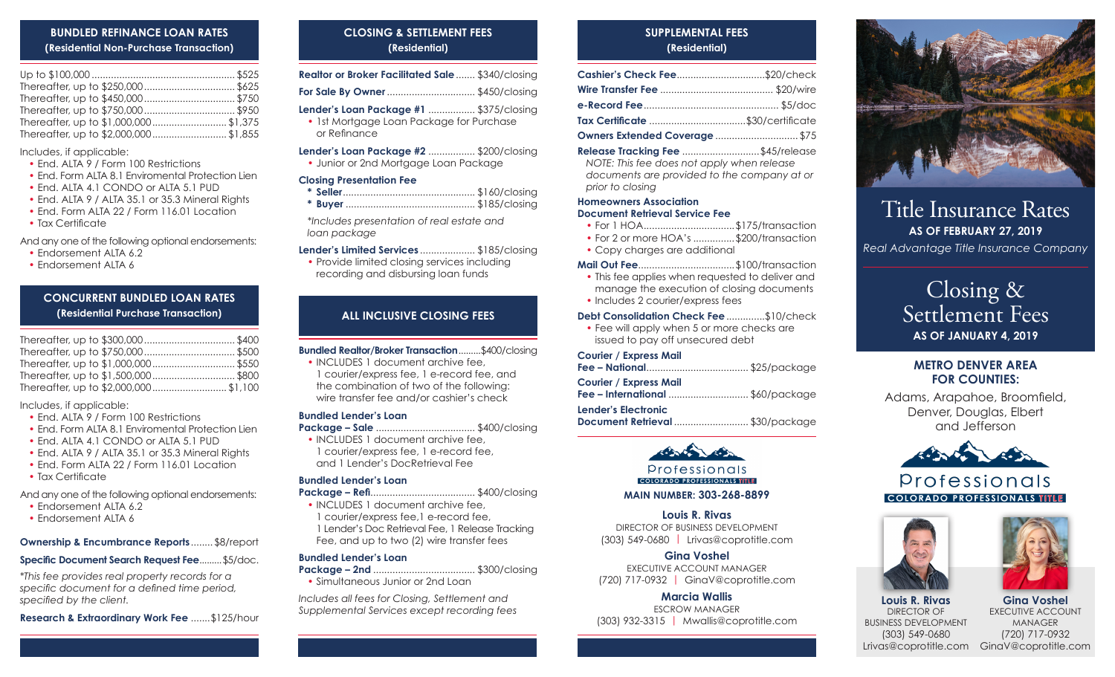## **BUNDLED REFINANCE LOAN RATES (Residential Non-Purchase Transaction)**

Includes, if applicable:

- End. ALTA 9 / Form 100 Restrictions
- End. Form ALTA 8.1 Enviromental Protection Lien
- End. ALTA 4.1 CONDO or ALTA 5.1 PUD
- End. ALTA 9 / ALTA 35.1 or 35.3 Mineral Rights
- End. Form ALTA 22 / Form 116.01 Location
- Tax Certificate

And any one of the following optional endorsements:

- Endorsement ALTA 6.2
- Endorsement ALTA 6

# **CONCURRENT BUNDLED LOAN RATES (Residential Purchase Transaction)**

Includes, if applicable:

- End. ALTA 9 / Form 100 Restrictions
- End. Form ALTA 8.1 Enviromental Protection Lien
- End. ALTA 4.1 CONDO or ALTA 5.1 PUD
- End. ALTA 9 / ALTA 35.1 or 35.3 Mineral Rights
- End. Form ALTA 22 / Form 116.01 Location
- Tax Certificate

And any one of the following optional endorsements:

- Endorsement ALTA 6.2
- Endorsement ALTA 6

# **Ownership & Encumbrance Reports**........ \$8/report

# **Specific Document Search Request Fee**.........\$5/doc.

*\*This fee provides real property records for a specific document for a defined time period, specified by the client.*

**Research & Extraordinary Work Fee** .......\$125/hour

# **CLOSING & SETTLEMENT FEES (Residential)**

| Realtor or Broker Facilitated Sale  \$340/closing                                                   |  |
|-----------------------------------------------------------------------------------------------------|--|
| <b>For Sale By Owner</b> \$450/closing                                                              |  |
| Lender's Loan Package #1  \$375/closing<br>• Ist Mortgage Loan Package for Purchase<br>or Refinance |  |
| <b>Lender's Loan Package #2  \$200/closing</b><br>· Junior or 2nd Mortgage Loan Package             |  |
| <b>Closing Presentation Fee</b>                                                                     |  |

*\*Includes presentation of real estate and loan package*

### **Lender's Limited Services** .................... \$185/closing

• Provide limited closing services including recording and disbursing loan funds

## **ALL INCLUSIVE CLOSING FEES**

**Bundled Realtor/Broker Transaction**.........\$400/closing

- INCLUDES 1 document archive fee.
- 1 courier/express fee, 1 e-record fee, and the combination of two of the following: wire transfer fee and/or cashier's check

#### **Bundled Lender's Loan**

**Package – Sale** .................................... \$400/closing

• INCLUDES 1 document archive fee, 1 courier/express fee, 1 e-record fee, and 1 Lender's DocRetrieval Fee

### **Bundled Lender's Loan**

- **Package Refi**...................................... \$400/closing
- INCLUDES 1 document archive fee, 1 courier/express fee,1 e-record fee, 1 Lender's Doc Retrieval Fee, 1 Release Tracking Fee, and up to two (2) wire transfer fees

### **Bundled Lender's Loan**

**Package – 2nd** ..................................... \$300/closing

• Simultaneous Junior or 2nd Loan

*Includes all fees for Closing, Settlement and Supplemental Services except recording fees*

# **SUPPLEMENTAL FEES (Residential)**

| Cashier's Check Fee\$20/check     |  |
|-----------------------------------|--|
|                                   |  |
|                                   |  |
| Tax Certificate \$30/certificate  |  |
| Owners Extended Coverage  \$75    |  |
| Release Tracking Fee \$45/release |  |

*NOTE: This fee does not apply when release documents are provided to the company at or prior to closing*

#### **Homeowners Association Document Retrieval Service Fee**

- For 1 HOA..................................\$175/transaction
- For 2 or more HOA's ...............\$200/transaction
- Copy charges are additional

#### **Mail Out Fee**...................................\$100/transaction

- This fee applies when requested to deliver and manage the execution of closing documents
- Includes 2 courier/express fees

## **Debt Consolidation Check Fee**..............\$10/check

• Fee will apply when 5 or more checks are issued to pay off unsecured debt

## **Courier / Express Mail**

| <b>Courier / Express Mail</b>           |  |
|-----------------------------------------|--|
| <b>Fee – International</b> \$60/package |  |

**Lender's Electronic Document Retrieval** ........................... \$30/package



Professionals **COLORADO PROFESSIONALS TITLE** 

**MAIN NUMBER: 303-268-8899** 

**Louis R. Rivas** DIRECTOR OF BUSINESS DEVELOPMENT (303) 549-0680 | Lrivas@coprotitle.com

**Gina Voshel** EXECUTIVE ACCOUNT MANAGER (720) 717-0932 | GinaV@coprotitle.com

## **Marcia Wallis**

ESCROW MANAGER (303) 932-3315 | Mwallis@coprotitle.com



# Title Insurance Rates **AS OF FEBRUARY 27, 2019**

*Real Advantage Title Insurance Company*

# Closing & Settlement Fees **AS OF JANUARY 4, 2019**

# **METRO DENVER AREA FOR COUNTIES:**

Adams, Arapahoe, Broomfield, Denver, Douglas, Elbert and Jefferson



# Professionals **COLORADO PROFESSIONALS TITLE**





**Louis R. Rivas** DIRECTOR OF BUSINESS DEVELOPMENT (303) 549-0680 Lrivas@coprotitle.com GinaV@coprotitle.com**Gina Voshel** EXECUTIVE ACCOUNT MANAGER (720) 717-0932